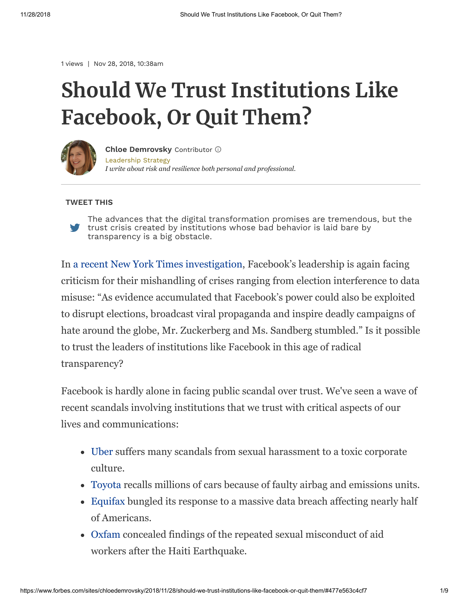1 views | Nov 28, 2018, 10:38am

# **Should We Trust Institutions Like Facebook, Or Quit Them?**



[Leadership](https://www.forbes.com/leadership-strategy/) Strategy *I write about risk and resilience both personal and professional.* **Chloe [Demrovsky](https://www.forbes.com/sites/chloedemrovsky/)** Contributor

#### **TWEET THIS**



 trust crisis created by institutions whose bad behavior is laid bare by The advances that the digital [transformation](https://twitter.com/intent/tweet?url=http%3A%2F%2Fwww.forbes.com%2Fsites%2Fchloedemrovsky%2F2018%2F11%2F28%2Fshould-we-trust-institutions-like-facebook-or-quit-them%2F&text=Digital%20transformation%20is%20promising%2C%20but%20the%20trust%20crisis%20created%20by%20institutions%27%20bad%20behavior%20is%20an%20obstacle.) promises are tremendous, but the transparency is a big obstacle.

In [a recent New York Times investigation,](https://www.nytimes.com/2018/11/14/technology/facebook-data-russia-election-racism.html) Facebook's leadership is again facing criticism for their mishandling of crises ranging from election interference to data misuse: "As evidence accumulated that Facebook's power could also be exploited to disrupt elections, broadcast viral propaganda and inspire deadly campaigns of hate around the globe, Mr. Zuckerberg and Ms. Sandberg stumbled." Is it possible to trust the leaders of institutions like Facebook in this age of radical transparency?

Facebook is hardly alone in facing public scandal over trust. We've seen a wave of recent scandals involving institutions that we trust with critical aspects of our lives and communications:

- [Uber](https://www.reuters.com/article/us-uber-sexual-harassment/uber-lyft-scrap-mandatory-arbitration-for-sexual-assault-claims-idUSKCN1IG1I2) suffers many scandals from sexual harassment to a toxic corporate culture.
- [Toyota](https://www.forbes.com/sites/peterlyon/2018/05/11/nissan-toyota-to-shift-away-from-diesel-in-wake-of-emissions-scandal/#44c42e086f1c) recalls millions of cars because of faulty airbag and emissions units.
- [Equifax](https://www.washingtonpost.com/news/the-switch/wp/2018/03/01/equifax-keeps-finding-millions-more-people-who-were-affected-by-its-massive-data-breach/?noredirect=on&utm_term=.6dd667429fbd) bungled its response to a massive data breach affecting nearly half of Americans.
- [Oxfam](http://www.bbc.com/news/uk-43112200) concealed findings of the repeated sexual misconduct of aid workers after the Haiti Earthquake.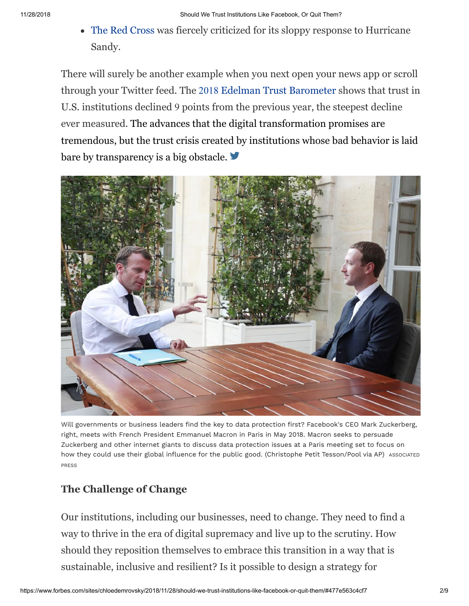[The Red Cross](https://www.propublica.org/series/red-cross) was fiercely criticized for its sloppy response to Hurricane Sandy.

There will surely be another example when you next open your news app or scroll through your Twitter feed. The 2018 [Edelman Trust Barometer](https://www.edelman.com/trust-barometer) shows that trust in U.S. institutions declined 9 points from the previous year, the steepest decline ever measured. The advances that the digital transformation promises are [tremendous, but the trust crisis created by institutions whose bad behavior is laid](https://twitter.com/intent/tweet?url=http%3A%2F%2Fwww.forbes.com%2Fsites%2Fchloedemrovsky%2F2018%2F11%2F28%2Fshould-we-trust-institutions-like-facebook-or-quit-them%2F&text=Digital%20transformation%20is%20promising%2C%20but%20the%20trust%20crisis%20created%20by%20institutions%27%20bad%20behavior%20is%20an%20obstacle.) bare by transparency is a big obstacle.



Will governments or business leaders find the key to data protection first? Facebook's CEO Mark Zuckerberg, right, meets with French President Emmanuel Macron in Paris in May 2018. Macron seeks to persuade Zuckerberg and other internet giants to discuss data protection issues at a Paris meeting set to focus on how they could use their global influence for the public good. (Christophe Petit Tesson/Pool via AP) ASSOCIATED PRESS

### **The Challenge of Change**

Our institutions, including our businesses, need to change. They need to find a way to thrive in the era of digital supremacy and live up to the scrutiny. How should they reposition themselves to embrace this transition in a way that is sustainable, inclusive and resilient? Is it possible to design a strategy for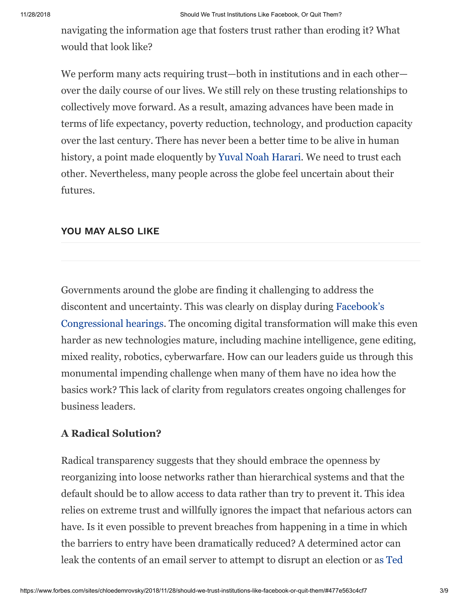navigating the information age that fosters trust rather than eroding it? What would that look like?

We perform many acts requiring trust—both in institutions and in each other over the daily course of our lives. We still rely on these trusting relationships to collectively move forward. As a result, amazing advances have been made in terms of life expectancy, poverty reduction, technology, and production capacity over the last century. There has never been a better time to be alive in human history, a point made eloquently by [Yuval Noah Harari.](https://www.ynharari.com/book/homo-deus/) We need to trust each other. Nevertheless, many people across the globe feel uncertain about their futures.

#### **YOU MAY ALSO LIKE**

Governments around the globe are finding it challenging to address the [discontent and uncertainty. This was clearly on display during Facebook's](https://www.washingtonpost.com/news/the-switch/wp/2018/04/11/zuckerberg-facebook-hearing-congress-house-testimony/?noredirect=on&utm_term=.f5fdc0175653) Congressional hearings. The oncoming digital transformation will make this even harder as new technologies mature, including machine intelligence, gene editing, mixed reality, robotics, cyberwarfare. How can our leaders guide us through this monumental impending challenge when many of them have no idea how the basics work? This lack of clarity from regulators creates ongoing challenges for business leaders.

#### **A Radical Solution?**

Radical transparency suggests that they should embrace the openness by reorganizing into loose networks rather than hierarchical systems and that the default should be to allow access to data rather than try to prevent it. This idea relies on extreme trust and willfully ignores the impact that nefarious actors can have. Is it even possible to prevent breaches from happening in a time in which the barriers to entry have been dramatically reduced? A determined actor can [leak the contents of an email server to attempt to disrupt an election or as Ted](http://tedkoppellightsout.com/)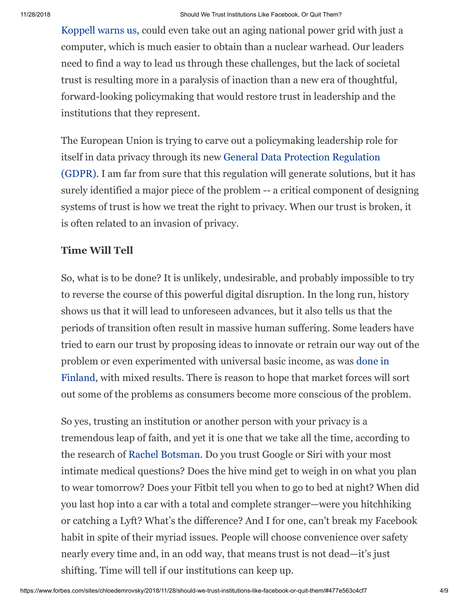[Koppell warns us, could even take out an aging national power grid with just a](http://tedkoppellightsout.com/) computer, which is much easier to obtain than a nuclear warhead. Our leaders need to find a way to lead us through these challenges, but the lack of societal trust is resulting more in a paralysis of inaction than a new era of thoughtful, forward-looking policymaking that would restore trust in leadership and the institutions that they represent.

The European Union is trying to carve out a policymaking leadership role for itself in data privacy through its new General Data Protection Regulation [\(GDPR\). I am far from sure that this regulation will generate solutions, bu](https://eugdpr.org/)t it has surely identified a major piece of the problem -- a critical component of designing systems of trust is how we treat the right to privacy. When our trust is broken, it is often related to an invasion of privacy.

### **Time Will Tell**

So, what is to be done? It is unlikely, undesirable, and probably impossible to try to reverse the course of this powerful digital disruption. In the long run, history shows us that it will lead to unforeseen advances, but it also tells us that the periods of transition often result in massive human suffering. Some leaders have tried to earn our trust by proposing ideas to innovate or retrain our way out of the [problem or even experimented with universal basic income, as was done in](https://www.economist.com/finance-and-economics/2018/04/26/the-lapsing-of-finlands-universal-basic-income-trial) Finland, with mixed results. There is reason to hope that market forces will sort out some of the problems as consumers become more conscious of the problem.

So yes, trusting an institution or another person with your privacy is a tremendous leap of faith, and yet it is one that we take all the time, according to the research of [Rachel Botsman](https://rachelbotsman.com/). Do you trust Google or Siri with your most intimate medical questions? Does the hive mind get to weigh in on what you plan to wear tomorrow? Does your Fitbit tell you when to go to bed at night? When did you last hop into a car with a total and complete stranger—were you hitchhiking or catching a Lyft? What's the difference? And I for one, can't break my Facebook habit in spite of their myriad issues. People will choose convenience over safety nearly every time and, in an odd way, that means trust is not dead—it's just shifting. Time will tell if our institutions can keep up.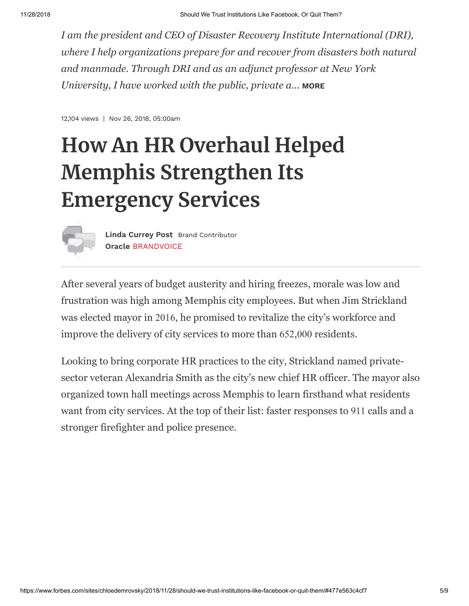*I am the president and CEO of Disaster Recovery Institute International (DRI), where I help organizations prepare for and recover from disasters both natural and manmade. Through DRI and as an adjunct professor at New York University, I have worked with the public, private a...* **[MORE](https://www.forbes.com/sites/chloedemrovsky/)**

12,104 views | Nov 26, 2018, 05:00am

# **How An HR Overhaul Helped Memphis Strengthen Its Emergency Services**



**Linda Currey Post** Brand [Contributor](https://www.forbes.com/sites/oracle/people/lindacurreypost/) **[Oracle](http://www.forbes.com/sites/oracle/)** BRANDVOICE

After several years of budget austerity and hiring freezes, morale was low and frustration was high among Memphis city employees. But when Jim Strickland was elected mayor in 2016, he promised to revitalize the city's workforce and improve the delivery of city services to more than 652,000 residents.

Looking to bring corporate HR practices to the city, Strickland named privatesector veteran Alexandria Smith as the city's new chief HR officer. The mayor also organized town hall meetings across Memphis to learn firsthand what residents want from city services. At the top of their list: faster responses to 911 calls and a stronger firefighter and police presence.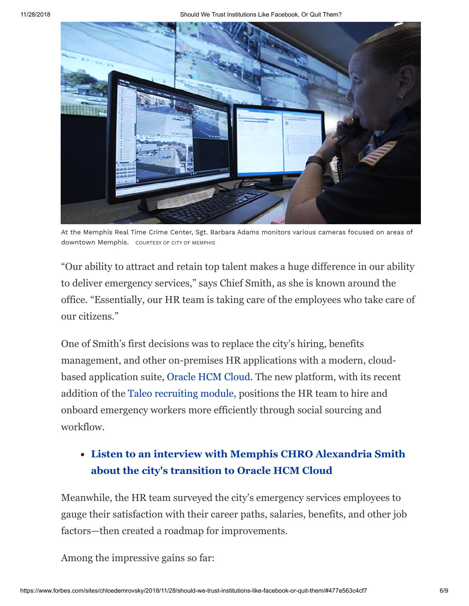

At the Memphis Real Time Crime Center, Sgt. Barbara Adams monitors various cameras focused on areas of downtown Memphis. COURTESY OF CITY OF MEMPHIS

"Our ability to attract and retain top talent makes a huge difference in our ability to deliver emergency services," says Chief Smith, as she is known around the office. "Essentially, our HR team is taking care of the employees who take care of our citizens."

One of Smith's first decisions was to replace the city's hiring, benefits management, and other on-premises HR applications with a modern, cloudbased application suite, [Oracle HCM Cloud.](https://cloud.oracle.com/hcm-cloud?source=:ex:nc:::RC_WWMK180119P00044:HCMcloudMemphis&SC=:ex:nc:::RC_WWMK180119P00044:HCMcloudMemphis&pcode=WWMK180119P00044) The new platform, with its recent addition of the [Taleo recruiting module](http://www.oracle.com/us/products/applications/taleo/enterprise/recruiting/features/index.html?source=:ex:nc:::RC_WWMK180119P00044:TaleoMemphis&SC=:ex:nc:::RC_WWMK180119P00044:TaleoMemphis&pcode=WWMK180119P00044)[,](http://www.oracle.com/us/products/applications/taleo/enterprise/recruiting/features/index.html) positions the HR team to hire and onboard emergency workers more efficiently through social sourcing and workflow.

## **[Listen to an interview with Memphis CHRO Alexandria Smith](http://www.blogtalkradio.com/steve-boese/2018/11/06/hr-happy-hour-346--implementing-a-new-hr-technology-strategy) about the city's transition to Oracle HCM Cloud**

Meanwhile, the HR team surveyed the city's emergency services employees to gauge their satisfaction with their career paths, salaries, benefits, and other job factors—then created a roadmap for improvements.

Among the impressive gains so far: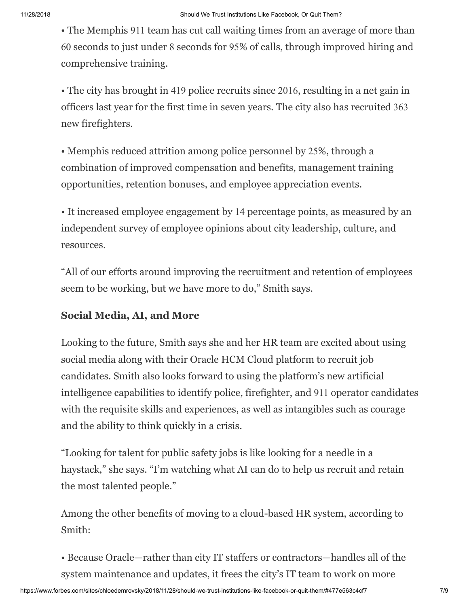• The Memphis 911 team has cut call waiting times from an average of more than 60 seconds to just under 8 seconds for 95% of calls, through improved hiring and comprehensive training.

• The city has brought in 419 police recruits since 2016, resulting in a net gain in officers last year for the first time in seven years. The city also has recruited 363 new firefighters.

• Memphis reduced attrition among police personnel by 25%, through a combination of improved compensation and benefits, management training opportunities, retention bonuses, and employee appreciation events.

• It increased employee engagement by 14 percentage points, as measured by an independent survey of employee opinions about city leadership, culture, and resources.

"All of our efforts around improving the recruitment and retention of employees seem to be working, but we have more to do," Smith says.

#### **Social Media, AI, and More**

Looking to the future, Smith says she and her HR team are excited about using social media along with their Oracle HCM Cloud platform to recruit job candidates. Smith also looks forward to using the platform's new artificial intelligence capabilities to identify police, firefighter, and 911 operator candidates with the requisite skills and experiences, as well as intangibles such as courage and the ability to think quickly in a crisis.

"Looking for talent for public safety jobs is like looking for a needle in a haystack," she says. "I'm watching what AI can do to help us recruit and retain the most talented people."

Among the other benefits of moving to a cloud-based HR system, according to Smith:

• Because Oracle—rather than city IT staffers or contractors—handles all of the system maintenance and updates, it frees the city's IT team to work on more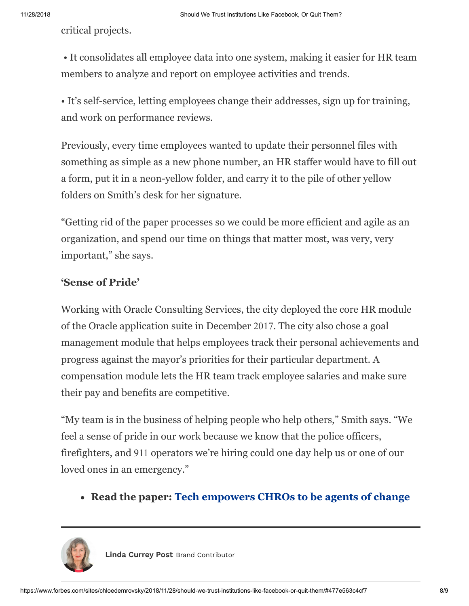critical projects.

 • It consolidates all employee data into one system, making it easier for HR team members to analyze and report on employee activities and trends.

• It's self-service, letting employees change their addresses, sign up for training, and work on performance reviews.

Previously, every time employees wanted to update their personnel files with something as simple as a new phone number, an HR staffer would have to fill out a form, put it in a neon-yellow folder, and carry it to the pile of other yellow folders on Smith's desk for her signature.

"Getting rid of the paper processes so we could be more efficient and agile as an organization, and spend our time on things that matter most, was very, very important," she says.

### **'Sense of Pride'**

Working with Oracle Consulting Services, the city deployed the core HR module of the Oracle application suite in December 2017. The city also chose a goal management module that helps employees track their personal achievements and progress against the mayor's priorities for their particular department. A compensation module lets the HR team track employee salaries and make sure their pay and benefits are competitive.

"My team is in the business of helping people who help others," Smith says. "We feel a sense of pride in our work because we know that the police officers, firefighters, and 911 operators we're hiring could one day help us or one of our loved ones in an emergency."

**Read the paper: [Tech empowers CHROs to be agents of change](https://www.oracle.com/webfolder/s/assets/digibook/future-of-hr/index.html?source=:ex:nc:::RC_WWMK180119P00044:CHROFutureReadyHR&SC=:ex:nc:::RC_WWMK180119P00044:CHROFutureReadyHR&pcode=WWMK180119P00044)**



**Linda Currey Post** Brand [Contributor](https://www.forbes.com/sites/oracle/people/lindacurreypost/)